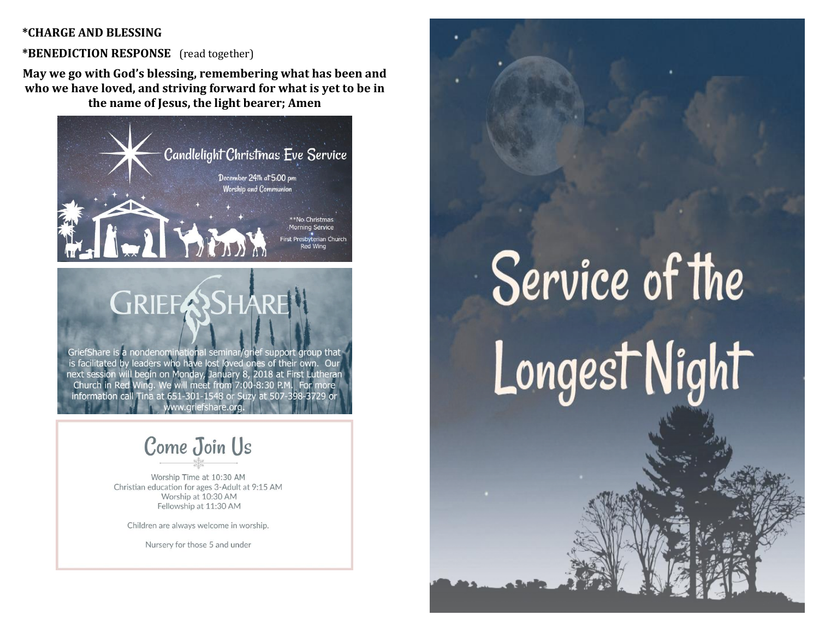#### **\*CHARGE AND BLESSING**

#### **\*BENEDICTION RESPONSE** (read together)

**May we go with God's blessing, remembering what has been and who we have loved, and striving forward for what is yet to be in the name of Jesus, the light bearer; Amen**



# Come Join Us

Worship Time at 10:30 AM Christian education for ages 3-Adult at 9:15 AM Worship at 10:30 AM Fellowship at 11:30 AM

Children are always welcome in worship.

Nursery for those 5 and under

# Service of the Longest Night